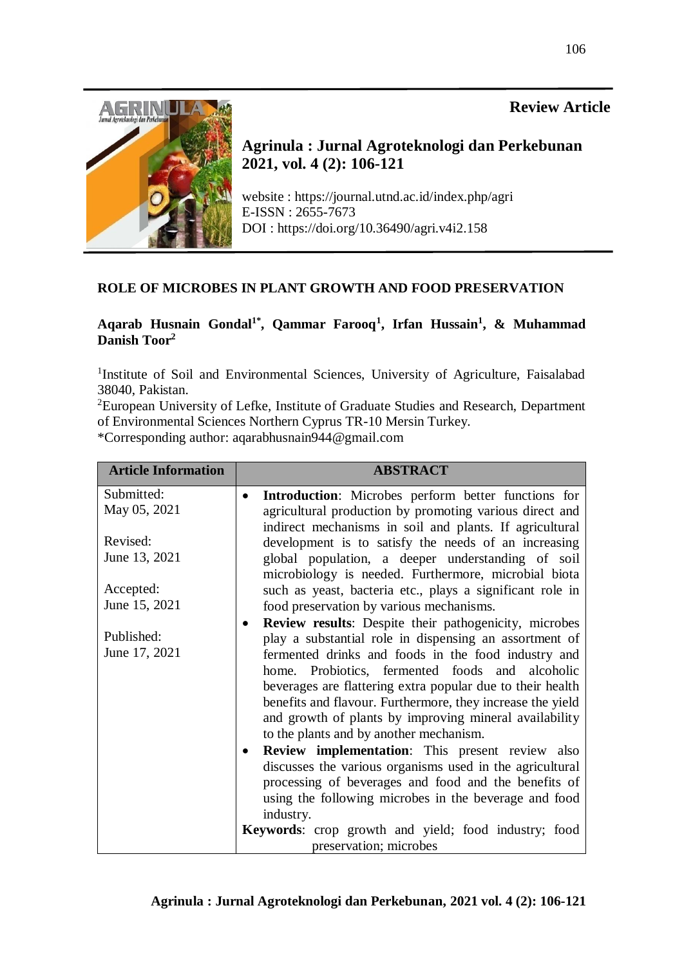# **Review Article**



**Agrinula : Jurnal Agroteknologi dan Perkebunan 2021, vol. 4 (2): 106-121**

website : https://journal.utnd.ac.id/index.php/agri E-ISSN : 2655-7673 DOI : https://doi.org/10.36490/agri.v4i2.158

## **ROLE OF MICROBES IN PLANT GROWTH AND FOOD PRESERVATION**

## **Aqarab Husnain Gondal1\* , Qammar Farooq<sup>1</sup> , Irfan Hussain<sup>1</sup> , & Muhammad Danish Toor<sup>2</sup>**

<sup>1</sup>Institute of Soil and Environmental Sciences, University of Agriculture, Faisalabad 38040, Pakistan.

<sup>2</sup>European University of Lefke, Institute of Graduate Studies and Research, Department of Environmental Sciences Northern Cyprus TR-10 Mersin Turkey.

\*Corresponding author: aqarabhusnain944@gmail.com

| <b>Article Information</b> | <b>ABSTRACT</b>                                                                                                      |
|----------------------------|----------------------------------------------------------------------------------------------------------------------|
| Submitted:                 | <b>Introduction:</b> Microbes perform better functions for<br>$\bullet$                                              |
| May 05, 2021               | agricultural production by promoting various direct and<br>indirect mechanisms in soil and plants. If agricultural   |
| Revised:                   | development is to satisfy the needs of an increasing                                                                 |
| June 13, 2021              | global population, a deeper understanding of soil<br>microbiology is needed. Furthermore, microbial biota            |
| Accepted:                  | such as yeast, bacteria etc., plays a significant role in                                                            |
| June 15, 2021              | food preservation by various mechanisms.                                                                             |
|                            | <b>Review results:</b> Despite their pathogenicity, microbes<br>$\bullet$                                            |
| Published:                 | play a substantial role in dispensing an assortment of                                                               |
| June 17, 2021              | fermented drinks and foods in the food industry and                                                                  |
|                            | home. Probiotics, fermented foods and alcoholic                                                                      |
|                            | beverages are flattering extra popular due to their health                                                           |
|                            | benefits and flavour. Furthermore, they increase the yield<br>and growth of plants by improving mineral availability |
|                            | to the plants and by another mechanism.                                                                              |
|                            | <b>Review implementation:</b> This present review also<br>$\bullet$                                                  |
|                            |                                                                                                                      |
|                            | discusses the various organisms used in the agricultural                                                             |
|                            | processing of beverages and food and the benefits of                                                                 |
|                            | using the following microbes in the beverage and food                                                                |
|                            | industry.                                                                                                            |
|                            | <b>Keywords:</b> crop growth and yield; food industry; food                                                          |
|                            | preservation; microbes                                                                                               |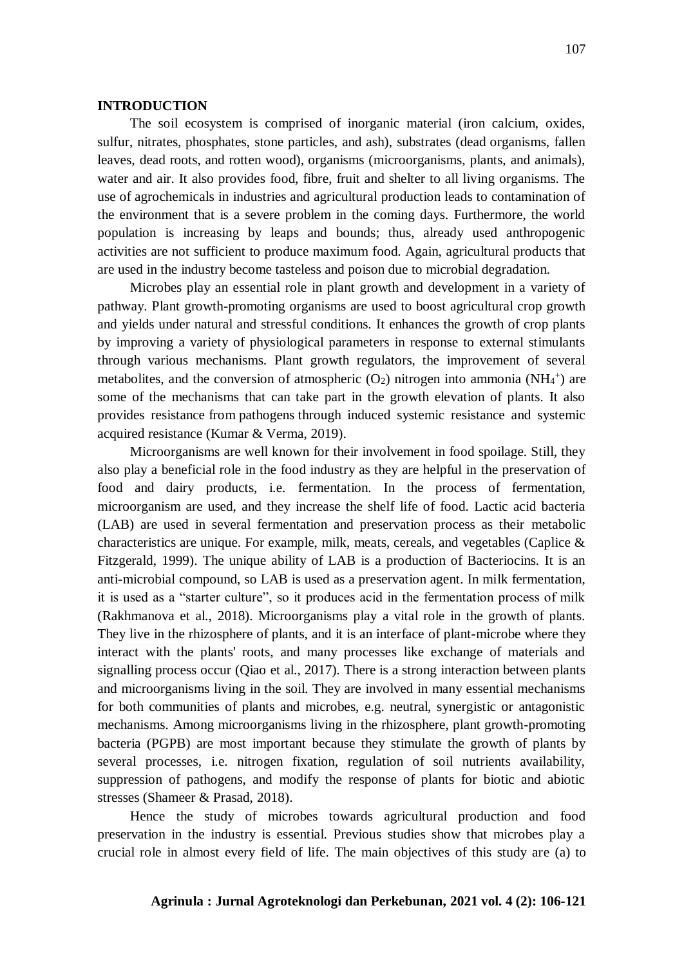#### **INTRODUCTION**

The soil ecosystem is comprised of inorganic material (iron calcium, oxides, sulfur, nitrates, phosphates, stone particles, and ash), substrates (dead organisms, fallen leaves, dead roots, and rotten wood), organisms (microorganisms, plants, and animals), water and air. It also provides food, fibre, fruit and shelter to all living organisms. The use of agrochemicals in industries and agricultural production leads to contamination of the environment that is a severe problem in the coming days. Furthermore, the world population is increasing by leaps and bounds; thus, already used anthropogenic activities are not sufficient to produce maximum food. Again, agricultural products that are used in the industry become tasteless and poison due to microbial degradation.

Microbes play an essential role in plant growth and development in a variety of pathway. Plant growth-promoting organisms are used to boost agricultural crop growth and yields under natural and stressful conditions. It enhances the growth of crop plants by improving a variety of physiological parameters in response to external stimulants through various mechanisms. Plant growth regulators, the improvement of several metabolites, and the conversion of atmospheric  $(O_2)$  nitrogen into ammonia  $(NH_4^+)$  are some of the mechanisms that can take part in the growth elevation of plants. It also provides resistance from pathogens through induced systemic resistance and systemic acquired resistance (Kumar & Verma, 2019).

Microorganisms are well known for their involvement in food spoilage. Still, they also play a beneficial role in the food industry as they are helpful in the preservation of food and dairy products, i.e. fermentation. In the process of fermentation, microorganism are used, and they increase the shelf life of food. Lactic acid bacteria (LAB) are used in several fermentation and preservation process as their metabolic characteristics are unique. For example, milk, meats, cereals, and vegetables (Caplice & Fitzgerald, 1999). The unique ability of LAB is a production of Bacteriocins. It is an anti-microbial compound, so LAB is used as a preservation agent. In milk fermentation, it is used as a "starter culture", so it produces acid in the fermentation process of milk (Rakhmanova et al., 2018). Microorganisms play a vital role in the growth of plants. They live in the rhizosphere of plants, and it is an interface of plant-microbe where they interact with the plants' roots, and many processes like exchange of materials and signalling process occur (Qiao et al., [2017\)](https://link.springer.com/article/10.1007/s00299-018-2341-2#ref-CR63). There is a strong interaction between plants and microorganisms living in the soil. They are involved in many essential mechanisms for both communities of plants and microbes, e.g. neutral, synergistic or antagonistic mechanisms. Among microorganisms living in the rhizosphere, plant growth-promoting bacteria (PGPB) are most important because they stimulate the growth of plants by several processes, i.e. nitrogen fixation, regulation of soil nutrients availability, suppression of pathogens, and modify the response of plants for biotic and abiotic stresses (Shameer & Prasad, [2018\)](https://link.springer.com/article/10.1007/s00299-018-2341-2#ref-CR75).

Hence the study of microbes towards agricultural production and food preservation in the industry is essential. Previous studies show that microbes play a crucial role in almost every field of life. The main objectives of this study are (a) to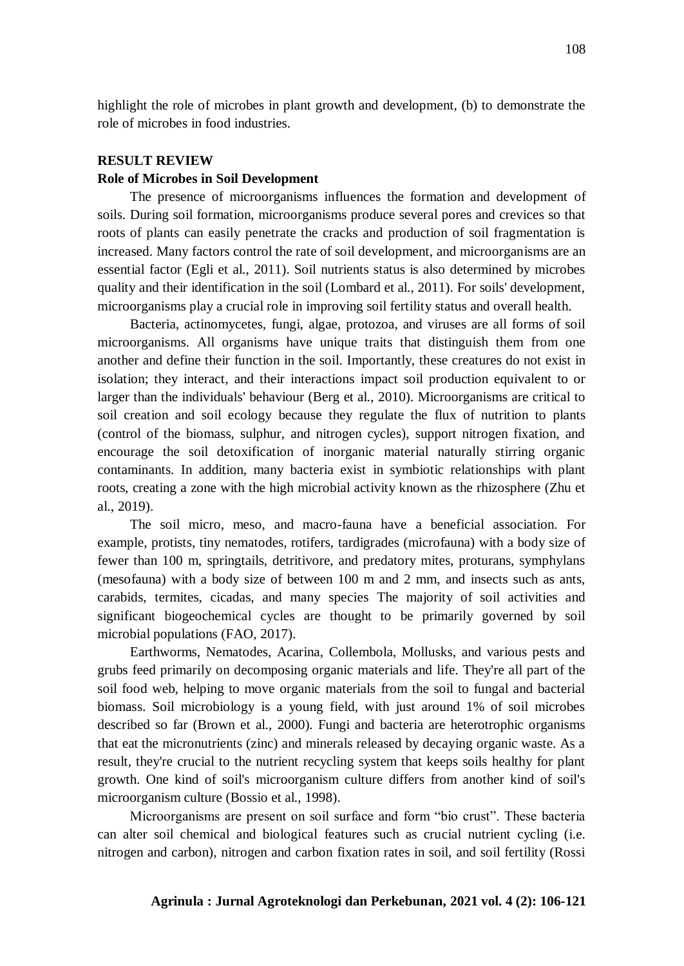highlight the role of microbes in plant growth and development, (b) to demonstrate the role of microbes in food industries.

## **RESULT REVIEW**

## **Role of Microbes in Soil Development**

The presence of microorganisms influences the formation and development of soils. During soil formation, microorganisms produce several pores and crevices so that roots of plants can easily penetrate the cracks and production of soil fragmentation is increased. Many factors control the rate of soil development, and microorganisms are an essential factor (Egli et al., 2011). Soil nutrients status is also determined by microbes quality and their identification in the soil (Lombard et al., 2011). For soils' development, microorganisms play a crucial role in improving soil fertility status and overall health.

Bacteria, actinomycetes, fungi, algae, protozoa, and viruses are all forms of soil microorganisms. All organisms have unique traits that distinguish them from one another and define their function in the soil. Importantly, these creatures do not exist in isolation; they interact, and their interactions impact soil production equivalent to or larger than the individuals' behaviour (Berg et al., 2010). Microorganisms are critical to soil creation and soil ecology because they regulate the flux of nutrition to plants (control of the biomass, sulphur, and nitrogen cycles), support nitrogen fixation, and encourage the soil detoxification of inorganic material naturally stirring organic contaminants. In addition, many bacteria exist in symbiotic relationships with plant roots, creating a zone with the high microbial activity known as the rhizosphere (Zhu et al., 2019).

The soil micro, meso, and macro-fauna have a beneficial association. For example, protists, tiny nematodes, rotifers, tardigrades (microfauna) with a body size of fewer than 100 m, springtails, detritivore, and predatory mites, proturans, symphylans (mesofauna) with a body size of between 100 m and 2 mm, and insects such as ants, carabids, termites, cicadas, and many species The majority of soil activities and significant biogeochemical cycles are thought to be primarily governed by soil microbial populations (FAO, 2017).

Earthworms, Nematodes, Acarina, Collembola, Mollusks, and various pests and grubs feed primarily on decomposing organic materials and life. They're all part of the soil food web, helping to move organic materials from the soil to fungal and bacterial biomass. Soil microbiology is a young field, with just around 1% of soil microbes described so far (Brown et al., 2000). Fungi and bacteria are heterotrophic organisms that eat the micronutrients (zinc) and minerals released by decaying organic waste. As a result, they're crucial to the nutrient recycling system that keeps soils healthy for plant growth. One kind of soil's microorganism culture differs from another kind of soil's microorganism culture (Bossio et al., 1998).

Microorganisms are present on soil surface and form "bio crust". These bacteria can alter soil chemical and biological features such as crucial nutrient cycling (i.e. nitrogen and carbon), nitrogen and carbon fixation rates in soil, and soil fertility (Rossi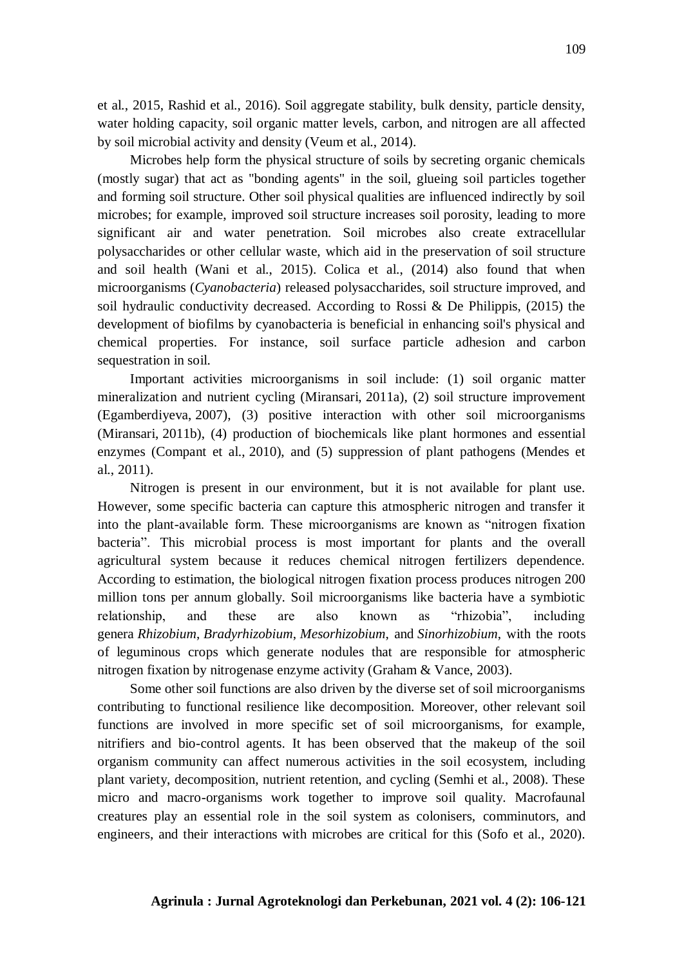et al., 2015, Rashid et al., 2016). Soil aggregate stability, bulk density, particle density, water holding capacity, soil organic matter levels, carbon, and nitrogen are all affected by soil microbial activity and density (Veum et al., 2014).

Microbes help form the physical structure of soils by secreting organic chemicals (mostly sugar) that act as "bonding agents" in the soil, glueing soil particles together and forming soil structure. Other soil physical qualities are influenced indirectly by soil microbes; for example, improved soil structure increases soil porosity, leading to more significant air and water penetration. Soil microbes also create extracellular polysaccharides or other cellular waste, which aid in the preservation of soil structure and soil health (Wani et al., 2015). Colica et al., (2014) also found that when microorganisms (*Cyanobacteria*) released polysaccharides, soil structure improved, and soil hydraulic conductivity decreased. According to Rossi & De Philippis, (2015) the development of biofilms by cyanobacteria is beneficial in enhancing soil's physical and chemical properties. For instance, soil surface particle adhesion and carbon sequestration in soil.

Important activities microorganisms in soil include: (1) soil organic matter mineralization and nutrient cycling (Miransari, [2011a\)](https://link.springer.com/article/10.1007/s11738-013-1338-2#ref-CR54), (2) soil structure improvement (Egamberdiyeva, [2007\)](https://link.springer.com/article/10.1007/s11738-013-1338-2#ref-CR15), (3) positive interaction with other soil microorganisms (Miransari, [2011b\)](https://link.springer.com/article/10.1007/s11738-013-1338-2#ref-CR53), (4) production of biochemicals like plant hormones and essential enzymes (Compant et al., [2010\)](https://link.springer.com/article/10.1007/s11738-013-1338-2#ref-CR12), and (5) suppression of plant pathogens (Mendes et al., [2011\)](https://link.springer.com/article/10.1007/s11738-013-1338-2#ref-CR49).

Nitrogen is present in our environment, but it is not available for plant use. However, some specific bacteria can capture this atmospheric nitrogen and transfer it into the plant-available form. These microorganisms are known as "nitrogen fixation bacteria". This microbial process is most important for plants and the overall agricultural system because it reduces chemical nitrogen fertilizers dependence. According to estimation, the biological nitrogen fixation process produces nitrogen 200 million tons per annum globally. Soil microorganisms like bacteria have a symbiotic relationship, and these are also known as "rhizobia", including genera *Rhizobium*, *Bradyrhizobium*, *Mesorhizobium*, and *Sinorhizobium*, with the roots of leguminous crops which generate nodules that are responsible for atmospheric nitrogen fixation by nitrogenase enzyme activity (Graham & Vance, 2003).

Some other soil functions are also driven by the diverse set of soil microorganisms contributing to functional resilience like decomposition. Moreover, other relevant soil functions are involved in more specific set of soil microorganisms, for example, nitrifiers and bio-control agents. It has been observed that the makeup of the soil organism community can affect numerous activities in the soil ecosystem, including plant variety, decomposition, nutrient retention, and cycling (Semhi et al., 2008). These micro and macro-organisms work together to improve soil quality. Macrofaunal creatures play an essential role in the soil system as colonisers, comminutors, and engineers, and their interactions with microbes are critical for this (Sofo et al., 2020).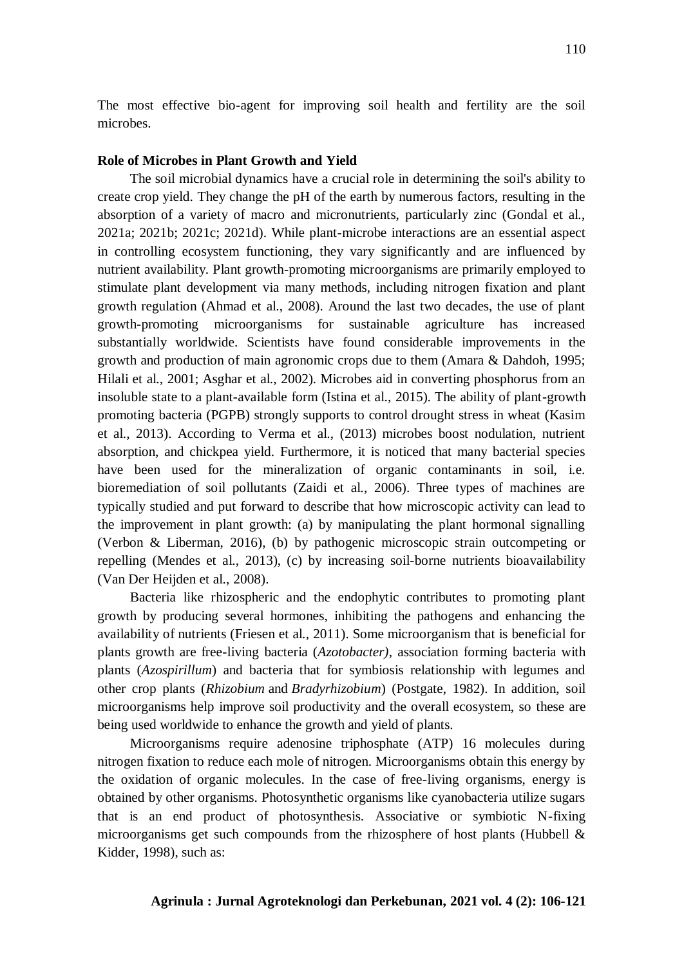The most effective bio-agent for improving soil health and fertility are the soil microbes.

## **Role of Microbes in Plant Growth and Yield**

The soil microbial dynamics have a crucial role in determining the soil's ability to create crop yield. They change the pH of the earth by numerous factors, resulting in the absorption of a variety of macro and micronutrients, particularly zinc (Gondal et al., 2021a; 2021b; 2021c; 2021d). While plant-microbe interactions are an essential aspect in controlling ecosystem functioning, they vary significantly and are influenced by nutrient availability. Plant growth-promoting microorganisms are primarily employed to stimulate plant development via many methods, including nitrogen fixation and plant growth regulation (Ahmad et al., 2008). Around the last two decades, the use of plant growth-promoting microorganisms for sustainable agriculture has increased substantially worldwide. Scientists have found considerable improvements in the growth and production of main agronomic crops due to them (Amara & Dahdoh, 1995; Hilali et al., 2001; Asghar et al., 2002). Microbes aid in converting phosphorus from an insoluble state to a plant-available form (Istina et al., 2015). The ability of plant-growth promoting bacteria (PGPB) strongly supports to control drought stress in wheat (Kasim et al., 2013). According to Verma et al., (2013) microbes boost nodulation, nutrient absorption, and chickpea yield. Furthermore, it is noticed that many bacterial species have been used for the mineralization of organic contaminants in soil, i.e. bioremediation of soil pollutants (Zaidi et al., 2006). Three types of machines are typically studied and put forward to describe that how microscopic activity can lead to the improvement in plant growth: (a) by manipulating the plant hormonal signalling (Verbon & Liberman, 2016), (b) by pathogenic microscopic strain outcompeting or repelling (Mendes et al., 2013), (c) by increasing soil-borne nutrients bioavailability (Van Der Heijden et al., 2008).

Bacteria like rhizospheric and the endophytic contributes to promoting plant growth by producing several hormones, inhibiting the pathogens and enhancing the availability of nutrients [\(Friesen et al., 2011\)](https://www.frontiersin.org/articles/10.3389/fmicb.2018.01794/full#B49). Some microorganism that is beneficial for plants growth are free-living bacteria (*Azotobacter)*, association forming bacteria with plants (*Azospirillum*) and bacteria that for symbiosis relationship with legumes and other crop plants (*Rhizobium* and *Bradyrhizobium*) (Postgate, 1982). In addition, soil microorganisms help improve soil productivity and the overall ecosystem, so these are being used worldwide to enhance the growth and yield of plants.

Microorganisms require adenosine triphosphate (ATP) 16 molecules during nitrogen fixation to reduce each mole of nitrogen. Microorganisms obtain this energy by the oxidation of organic molecules. In the case of free-living organisms, energy is obtained by other organisms. Photosynthetic organisms like cyanobacteria utilize sugars that is an end product of photosynthesis. Associative or symbiotic N-fixing microorganisms get such compounds from the rhizosphere of host plants (Hubbell & Kidder, 1998), such as: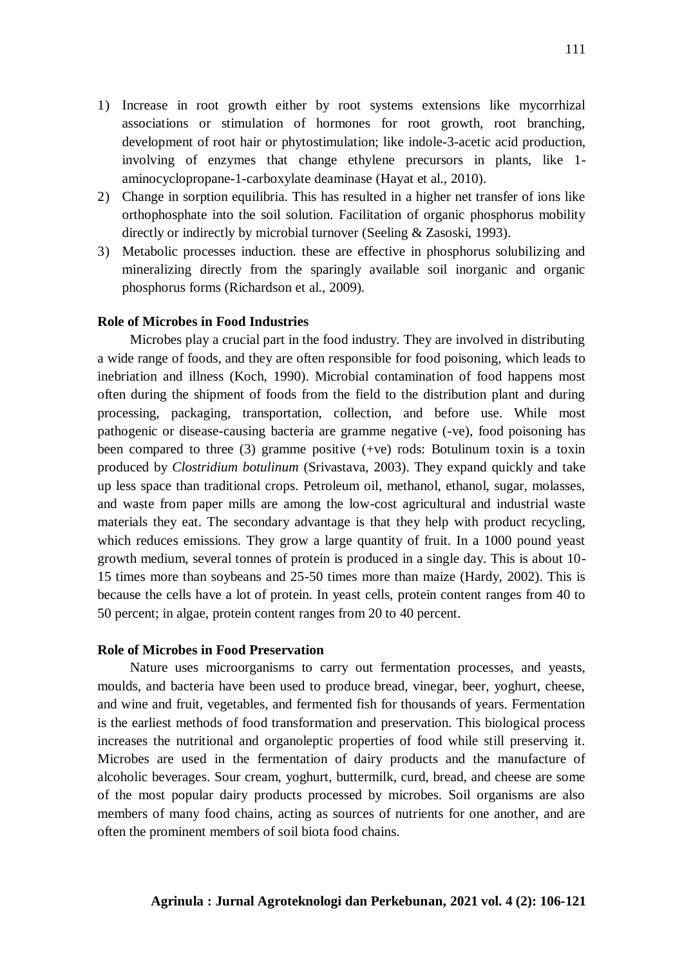- 1) Increase in root growth either by root systems extensions like mycorrhizal associations or stimulation of hormones for root growth, root branching, development of root hair or phytostimulation; like indole-3-acetic acid production, involving of enzymes that change ethylene precursors in plants, like 1 aminocyclopropane-1-carboxylate deaminase [\(Hayat](http://www.plantphysiol.org/content/156/3/989#ref-28) et al., 2010).
- 2) Change in sorption equilibria. This has resulted in a higher net transfer of ions like orthophosphate into the soil solution. Facilitation of organic phosphorus mobility directly or indirectly by microbial turnover (Seeling & [Zasoski,](http://www.plantphysiol.org/content/156/3/989#ref-57) 1993).
- 3) Metabolic processes induction. these are effective in phosphorus solubilizing and mineralizing directly from the sparingly available soil inorganic and organic phosphorus forms [\(Richardson](http://www.plantphysiol.org/content/156/3/989#ref-49) et al., 2009).

## **Role of Microbes in Food Industries**

Microbes play a crucial part in the food industry. They are involved in distributing a wide range of foods, and they are often responsible for food poisoning, which leads to inebriation and illness (Koch, 1990). Microbial contamination of food happens most often during the shipment of foods from the field to the distribution plant and during processing, packaging, transportation, collection, and before use. While most pathogenic or disease-causing bacteria are gramme negative (-ve), food poisoning has been compared to three (3) gramme positive (+ve) rods: Botulinum toxin is a toxin produced by *Clostridium botulinum* (Srivastava, 2003). They expand quickly and take up less space than traditional crops. Petroleum oil, methanol, ethanol, sugar, molasses, and waste from paper mills are among the low-cost agricultural and industrial waste materials they eat. The secondary advantage is that they help with product recycling, which reduces emissions. They grow a large quantity of fruit. In a 1000 pound yeast growth medium, several tonnes of protein is produced in a single day. This is about 10- 15 times more than soybeans and 25-50 times more than maize (Hardy, 2002). This is because the cells have a lot of protein. In yeast cells, protein content ranges from 40 to 50 percent; in algae, protein content ranges from 20 to 40 percent.

## **Role of Microbes in Food Preservation**

Nature uses microorganisms to carry out fermentation processes, and yeasts, moulds, and bacteria have been used to produce bread, vinegar, beer, yoghurt, cheese, and wine and fruit, vegetables, and fermented fish for thousands of years. Fermentation is the earliest methods of food transformation and preservation. This biological process increases the nutritional and organoleptic properties of food while still preserving it. Microbes are used in the fermentation of dairy products and the manufacture of alcoholic beverages. Sour cream, yoghurt, buttermilk, curd, bread, and cheese are some of the most popular dairy products processed by microbes. Soil organisms are also members of many food chains, acting as sources of nutrients for one another, and are often the prominent members of soil biota food chains.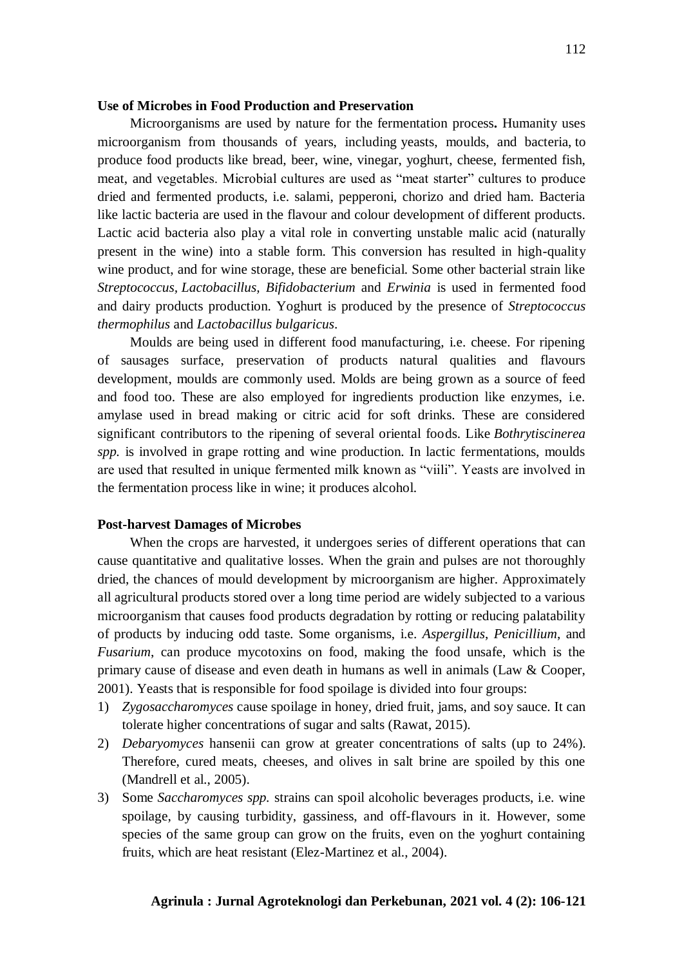#### **Use of Microbes in Food Production and Preservation**

Microorganisms are used by nature for the fermentation process**.** Humanity uses microorganism from thousands of years, including yeasts, moulds, and bacteria, to produce food products like bread, beer, wine, vinegar, yoghurt, cheese, fermented fish, meat, and vegetables. Microbial cultures are used as "meat starter" cultures to produce dried and fermented products, i.e. salami, pepperoni, chorizo and dried ham. Bacteria like lactic bacteria are used in the flavour and colour development of different products. Lactic acid bacteria also play a vital role in converting unstable malic acid (naturally present in the wine) into a stable form. This conversion has resulted in high-quality wine product, and for wine storage, these are beneficial. Some other bacterial strain like *Streptococcus, Lactobacillus, Bifidobacterium* and *Erwinia* is used in fermented food and dairy products production. Yoghurt is produced by the presence of *Streptococcus thermophilus* and *Lactobacillus bulgaricus*.

Moulds are being used in different food manufacturing, i.e. cheese. For ripening of sausages surface, preservation of products natural qualities and flavours development, moulds are commonly used. Molds are being grown as a source of feed and food too. These are also employed for ingredients production like enzymes, i.e. amylase used in bread making or citric acid for soft drinks. These are considered significant contributors to the ripening of several oriental foods. Like *Bothrytiscinerea spp.* is involved in grape rotting and wine production. In lactic fermentations, moulds are used that resulted in unique fermented milk known as "viili". Yeasts are involved in the fermentation process like in wine; it produces alcohol.

## **Post-harvest Damages of Microbes**

When the crops are harvested, it undergoes series of different operations that can cause quantitative and qualitative losses. When the grain and pulses are not thoroughly dried, the chances of mould development by microorganism are higher. Approximately all agricultural products stored over a long time period are widely subjected to a various microorganism that causes food products degradation by rotting or reducing palatability of products by inducing odd taste. Some organisms, i.e. *Aspergillus*, *Penicillium*, and *Fusarium*, can produce mycotoxins on food, making the food unsafe, which is the primary cause of disease and even death in humans as well in animals (Law & Cooper, 2001). Yeasts that is responsible for food spoilage is divided into four groups:

- 1) *Zygosaccharomyces* cause spoilage in honey, dried fruit, jams, and soy sauce. It can tolerate higher concentrations of sugar and salts (Rawat, 2015).
- 2) *Debaryomyces* hansenii can grow at greater concentrations of salts (up to 24%). Therefore, cured meats, cheeses, and olives in salt brine are spoiled by this one (Mandrell et al., 2005).
- 3) Some *Saccharomyces spp.* strains can spoil alcoholic beverages products, i.e. wine spoilage, by causing turbidity, gassiness, and off-flavours in it. However, some species of the same group can grow on the fruits, even on the yoghurt containing fruits, which are heat resistant (Elez-Martinez et al., 2004).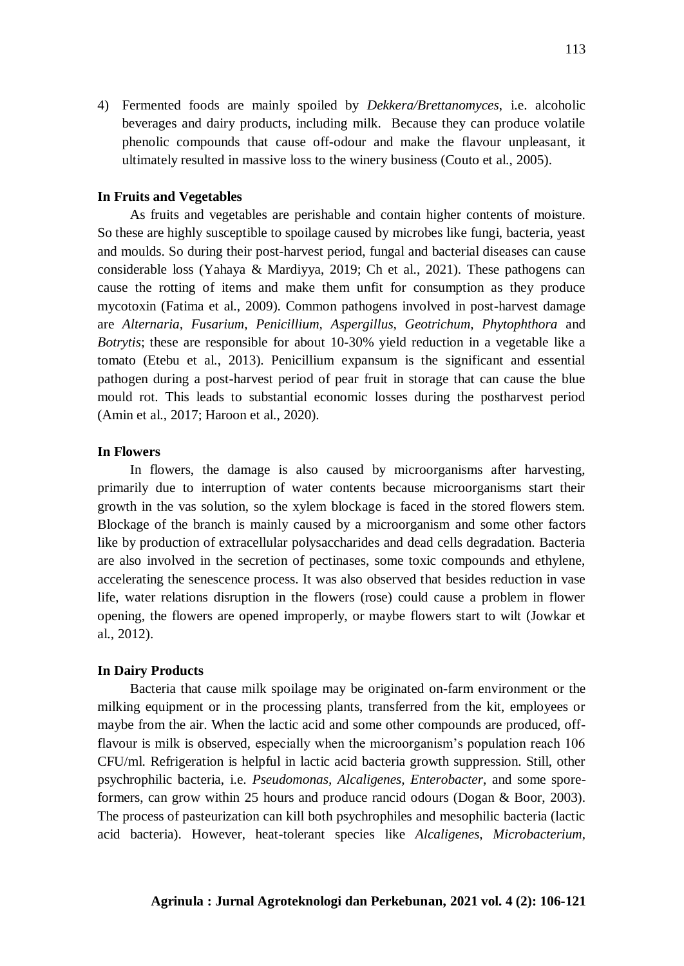4) Fermented foods are mainly spoiled by *Dekkera/Brettanomyces*, i.e. alcoholic beverages and dairy products, including milk. Because they can produce volatile phenolic compounds that cause off-odour and make the flavour unpleasant, it ultimately resulted in massive loss to the winery business (Couto et al., 2005).

#### **In Fruits and Vegetables**

As fruits and vegetables are perishable and contain higher contents of moisture. So these are highly susceptible to spoilage caused by microbes like fungi, bacteria, yeast and moulds. So during their post-harvest period, fungal and bacterial diseases can cause considerable loss (Yahaya & Mardiyya, 2019; Ch et al., 2021). These pathogens can cause the rotting of items and make them unfit for consumption as they produce mycotoxin (Fatima et al., 2009). Common pathogens involved in post-harvest damage are *Alternaria, Fusarium, Penicillium, Aspergillus, Geotrichum, Phytophthora* and *Botrytis*; these are responsible for about 10-30% yield reduction in a vegetable like a tomato (Etebu et al., 2013). Penicillium expansum is the significant and essential pathogen during a post-harvest period of pear fruit in storage that can cause the blue mould rot. This leads to substantial economic losses during the postharvest period (Amin et al., 2017; Haroon et al., 2020).

#### **In Flowers**

In flowers, the damage is also caused by microorganisms after harvesting, primarily due to interruption of water contents because microorganisms start their growth in the vas solution, so the xylem blockage is faced in the stored flowers stem. Blockage of the branch is mainly caused by a microorganism and some other factors like by production of extracellular polysaccharides and dead cells degradation. Bacteria are also involved in the secretion of pectinases, some toxic compounds and ethylene, accelerating the senescence process. It was also observed that besides reduction in vase life, water relations disruption in the flowers (rose) could cause a problem in flower opening, the flowers are opened improperly, or maybe flowers start to wilt (Jowkar et al., 2012).

#### **In Dairy Products**

Bacteria that cause milk spoilage may be originated on-farm environment or the milking equipment or in the processing plants, transferred from the kit, employees or maybe from the air. When the lactic acid and some other compounds are produced, offflavour is milk is observed, especially when the microorganism's population reach 106 CFU/ml. Refrigeration is helpful in lactic acid bacteria growth suppression. Still, other psychrophilic bacteria, i.e. *Pseudomonas, Alcaligenes, Enterobacter*, and some sporeformers, can grow within 25 hours and produce rancid odours (Dogan & Boor, 2003). The process of pasteurization can kill both psychrophiles and mesophilic bacteria (lactic acid bacteria). However, heat-tolerant species like *Alcaligenes, Microbacterium,*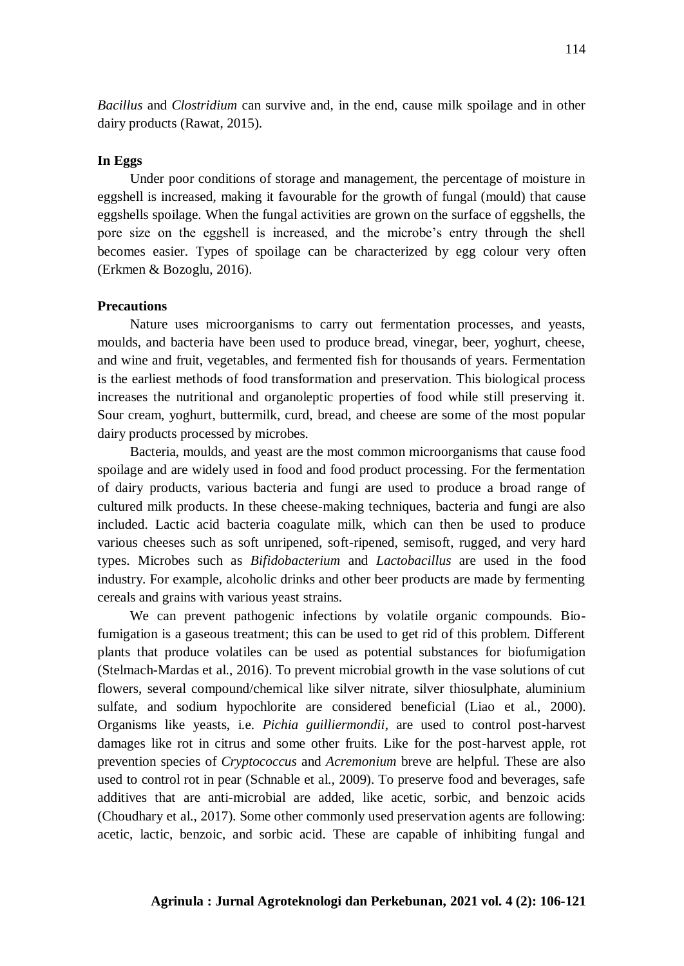*Bacillus* and *Clostridium* can survive and, in the end, cause milk spoilage and in other dairy products (Rawat, 2015).

## **In Eggs**

Under poor conditions of storage and management, the percentage of moisture in eggshell is increased, making it favourable for the growth of fungal (mould) that cause eggshells spoilage. When the fungal activities are grown on the surface of eggshells, the pore size on the eggshell is increased, and the microbe's entry through the shell becomes easier. Types of spoilage can be characterized by egg colour very often (Erkmen & Bozoglu, 2016).

#### **Precautions**

Nature uses microorganisms to carry out fermentation processes, and yeasts, moulds, and bacteria have been used to produce bread, vinegar, beer, yoghurt, cheese, and wine and fruit, vegetables, and fermented fish for thousands of years. Fermentation is the earliest methods of food transformation and preservation. This biological process increases the nutritional and organoleptic properties of food while still preserving it. Sour cream, yoghurt, buttermilk, curd, bread, and cheese are some of the most popular dairy products processed by microbes.

Bacteria, moulds, and yeast are the most common microorganisms that cause food spoilage and are widely used in food and food product processing. For the fermentation of dairy products, various bacteria and fungi are used to produce a broad range of cultured milk products. In these cheese-making techniques, bacteria and fungi are also included. Lactic acid bacteria coagulate milk, which can then be used to produce various cheeses such as soft unripened, soft-ripened, semisoft, rugged, and very hard types. Microbes such as *Bifidobacterium* and *Lactobacillus* are used in the food industry. For example, alcoholic drinks and other beer products are made by fermenting cereals and grains with various yeast strains.

We can prevent pathogenic infections by volatile organic compounds. Biofumigation is a gaseous treatment; this can be used to get rid of this problem. Different plants that produce volatiles can be used as potential substances for biofumigation (Stelmach-Mardas et al., 2016). To prevent microbial growth in the vase solutions of cut flowers, several compound/chemical like silver nitrate, silver thiosulphate, aluminium sulfate, and sodium hypochlorite are considered beneficial (Liao et al., 2000). Organisms like yeasts, i.e. *Pichia guilliermondii*, are used to control post-harvest damages like rot in citrus and some other fruits. Like for the post-harvest apple, rot prevention species of *Cryptococcus* and *Acremonium* breve are helpful. These are also used to control rot in pear (Schnable et al., 2009). To preserve food and beverages, safe additives that are anti-microbial are added, like acetic, sorbic, and benzoic acids (Choudhary et al., 2017). Some other commonly used preservation agents are following: acetic, lactic, benzoic, and sorbic acid. These are capable of inhibiting fungal and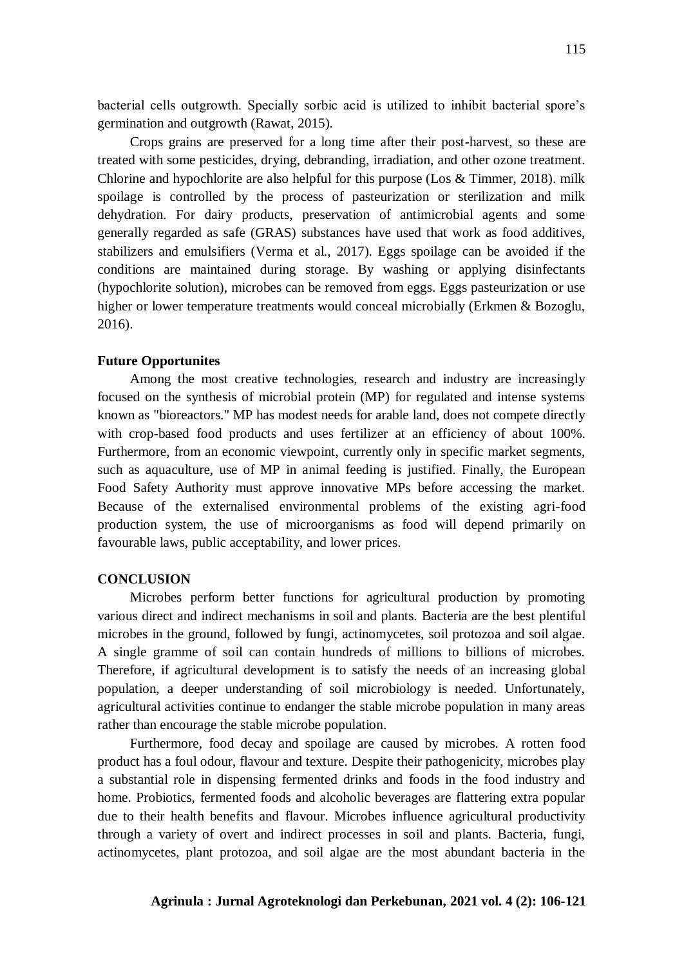bacterial cells outgrowth. Specially sorbic acid is utilized to inhibit bacterial spore's germination and outgrowth (Rawat, 2015).

Crops grains are preserved for a long time after their post-harvest, so these are treated with some pesticides, drying, debranding, irradiation, and other ozone treatment. Chlorine and hypochlorite are also helpful for this purpose (Los & Timmer, 2018). milk spoilage is controlled by the process of pasteurization or sterilization and milk dehydration. For dairy products, preservation of antimicrobial agents and some generally regarded as safe (GRAS) substances have used that work as food additives, stabilizers and emulsifiers (Verma et al., 2017). Eggs spoilage can be avoided if the conditions are maintained during storage. By washing or applying disinfectants (hypochlorite solution), microbes can be removed from eggs. Eggs pasteurization or use higher or lower temperature treatments would conceal microbially (Erkmen & Bozoglu, 2016).

#### **Future Opportunites**

Among the most creative technologies, research and industry are increasingly focused on the synthesis of microbial protein (MP) for regulated and intense systems known as "bioreactors." MP has modest needs for arable land, does not compete directly with crop-based food products and uses fertilizer at an efficiency of about 100%. Furthermore, from an economic viewpoint, currently only in specific market segments, such as aquaculture, use of MP in animal feeding is justified. Finally, the European Food Safety Authority must approve innovative MPs before accessing the market. Because of the externalised environmental problems of the existing agri-food production system, the use of microorganisms as food will depend primarily on favourable laws, public acceptability, and lower prices.

#### **CONCLUSION**

Microbes perform better functions for agricultural production by promoting various direct and indirect mechanisms in soil and plants. Bacteria are the best plentiful microbes in the ground, followed by fungi, actinomycetes, soil protozoa and soil algae. A single gramme of soil can contain hundreds of millions to billions of microbes. Therefore, if agricultural development is to satisfy the needs of an increasing global population, a deeper understanding of soil microbiology is needed. Unfortunately, agricultural activities continue to endanger the stable microbe population in many areas rather than encourage the stable microbe population.

Furthermore, food decay and spoilage are caused by microbes. A rotten food product has a foul odour, flavour and texture. Despite their pathogenicity, microbes play a substantial role in dispensing fermented drinks and foods in the food industry and home. Probiotics, fermented foods and alcoholic beverages are flattering extra popular due to their health benefits and flavour. Microbes influence agricultural productivity through a variety of overt and indirect processes in soil and plants. Bacteria, fungi, actinomycetes, plant protozoa, and soil algae are the most abundant bacteria in the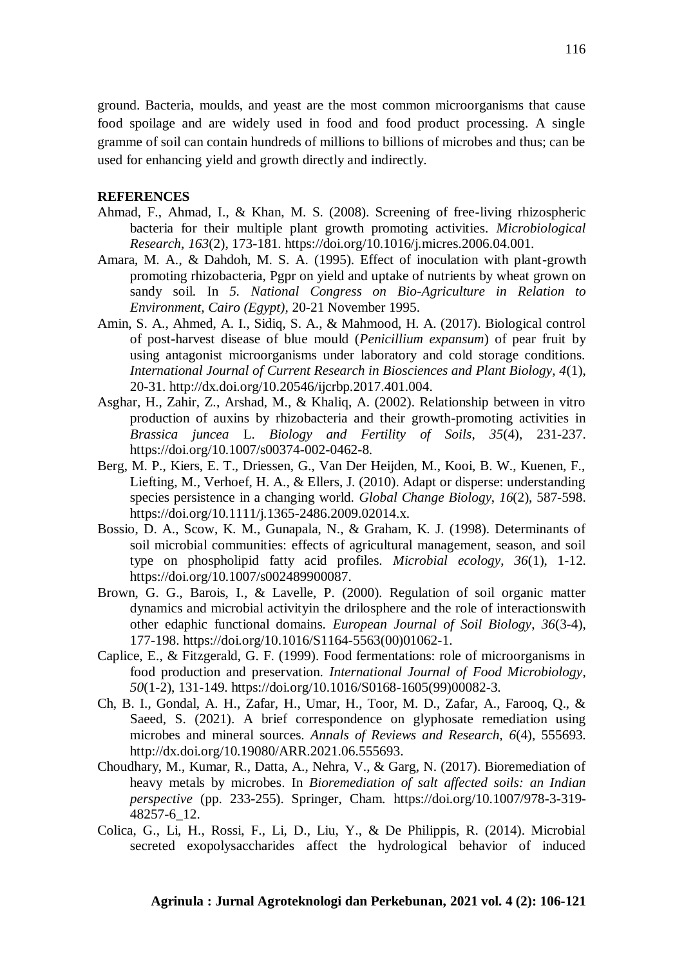ground. Bacteria, moulds, and yeast are the most common microorganisms that cause food spoilage and are widely used in food and food product processing. A single gramme of soil can contain hundreds of millions to billions of microbes and thus; can be used for enhancing yield and growth directly and indirectly.

#### **REFERENCES**

- Ahmad, F., Ahmad, I., & Khan, M. S. (2008). Screening of free-living rhizospheric bacteria for their multiple plant growth promoting activities. *Microbiological Research*, *163*(2), 173-181. https://doi.org/10.1016/j.micres.2006.04.001.
- Amara, M. A., & Dahdoh, M. S. A. (1995). Effect of inoculation with plant-growth promoting rhizobacteria, Pgpr on yield and uptake of nutrients by wheat grown on sandy soil. In *5. National Congress on Bio-Agriculture in Relation to Environment, Cairo (Egypt),* 20-21 November 1995.
- Amin, S. A., Ahmed, A. I., Sidiq, S. A., & Mahmood, H. A. (2017). Biological control of post-harvest disease of blue mould (*Penicillium expansum*) of pear fruit by using antagonist microorganisms under laboratory and cold storage conditions. *International Journal of Current Research in Biosciences and Plant Biology, 4*(1), 20-31. http://dx.doi.org/10.20546/ijcrbp.2017.401.004.
- Asghar, H., Zahir, Z., Arshad, M., & Khaliq, A. (2002). Relationship between in vitro production of auxins by rhizobacteria and their growth-promoting activities in *Brassica juncea* L. *Biology and Fertility of Soils*, *35*(4), 231-237. https://doi.org/10.1007/s00374-002-0462-8.
- Berg, M. P., Kiers, E. T., Driessen, G., Van Der Heijden, M., Kooi, B. W., Kuenen, F., Liefting, M., Verhoef, H. A., & Ellers, J. (2010). Adapt or disperse: understanding species persistence in a changing world. *Global Change Biology*, *16*(2), 587-598. https://doi.org/10.1111/j.1365-2486.2009.02014.x.
- Bossio, D. A., Scow, K. M., Gunapala, N., & Graham, K. J. (1998). Determinants of soil microbial communities: effects of agricultural management, season, and soil type on phospholipid fatty acid profiles. *Microbial ecology*, *36*(1), 1-12. https://doi.org/10.1007/s002489900087.
- Brown, G. G., Barois, I., & Lavelle, P. (2000). Regulation of soil organic matter dynamics and microbial activityin the drilosphere and the role of interactionswith other edaphic functional domains. *European Journal of Soil Biology*, *36*(3-4), 177-198. https://doi.org/10.1016/S1164-5563(00)01062-1.
- Caplice, E., & Fitzgerald, G. F. (1999). Food fermentations: role of microorganisms in food production and preservation. *International Journal of Food Microbiology*, *50*(1-2), 131-149. https://doi.org/10.1016/S0168-1605(99)00082-3.
- Ch, B. I., Gondal, A. H., Zafar, H., Umar, H., Toor, M. D., Zafar, A., Farooq, Q., & Saeed, S. (2021). A brief correspondence on glyphosate remediation using microbes and mineral sources. *Annals of Reviews and Research, 6*(4), 555693. http://dx.doi.org/10.19080/ARR.2021.06.555693.
- Choudhary, M., Kumar, R., Datta, A., Nehra, V., & Garg, N. (2017). Bioremediation of heavy metals by microbes. In *Bioremediation of salt affected soils: an Indian perspective* (pp. 233-255). Springer, Cham. https://doi.org/10.1007/978-3-319- 48257-6\_12.
- Colica, G., Li, H., Rossi, F., Li, D., Liu, Y., & De Philippis, R. (2014). Microbial secreted exopolysaccharides affect the hydrological behavior of induced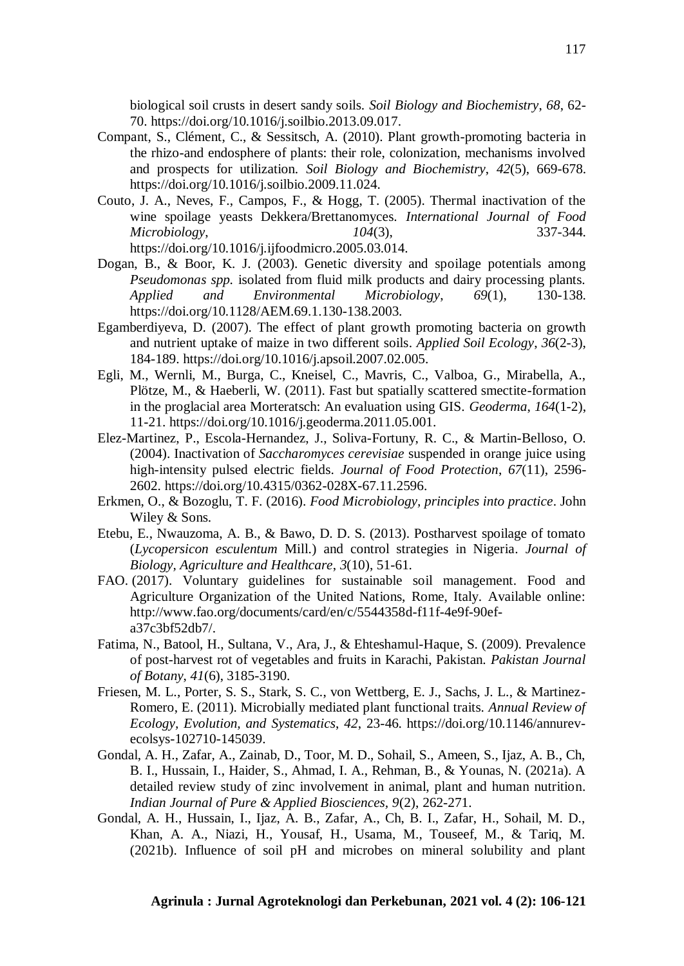biological soil crusts in desert sandy soils. *Soil Biology and Biochemistry*, *68*, 62- 70. https://doi.org/10.1016/j.soilbio.2013.09.017.

- Compant, S., Clément, C., & Sessitsch, A. (2010). Plant growth-promoting bacteria in the rhizo-and endosphere of plants: their role, colonization, mechanisms involved and prospects for utilization. *Soil Biology and Biochemistry*, *42*(5), 669-678. https://doi.org/10.1016/j.soilbio.2009.11.024.
- Couto, J. A., Neves, F., Campos, F., & Hogg, T. (2005). Thermal inactivation of the wine spoilage yeasts Dekkera/Brettanomyces. *International Journal of Food Microbiology*, *104*(3), 337-344. https://doi.org/10.1016/j.ijfoodmicro.2005.03.014.
- Dogan, B., & Boor, K. J. (2003). Genetic diversity and spoilage potentials among *Pseudomonas spp.* isolated from fluid milk products and dairy processing plants. *Applied and Environmental Microbiology*, *69*(1), 130-138. https://doi.org/10.1128/AEM.69.1.130-138.2003.
- Egamberdiyeva, D. (2007). The effect of plant growth promoting bacteria on growth and nutrient uptake of maize in two different soils. *Applied Soil Ecology*, *36*(2-3), 184-189. https://doi.org/10.1016/j.apsoil.2007.02.005.
- Egli, M., Wernli, M., Burga, C., Kneisel, C., Mavris, C., Valboa, G., Mirabella, A., Plötze, M., & Haeberli, W. (2011). Fast but spatially scattered smectite-formation in the proglacial area Morteratsch: An evaluation using GIS. *Geoderma*, *164*(1-2), 11-21. https://doi.org/10.1016/j.geoderma.2011.05.001.
- Elez-Martinez, P., Escola-Hernandez, J., Soliva-Fortuny, R. C., & Martin-Belloso, O. (2004). Inactivation of *Saccharomyces cerevisiae* suspended in orange juice using high-intensity pulsed electric fields. *Journal of Food Protection*, *67*(11), 2596- 2602. https://doi.org/10.4315/0362-028X-67.11.2596.
- Erkmen, O., & Bozoglu, T. F. (2016). *Food Microbiology, principles into practice*. John Wiley & Sons.
- Etebu, E., Nwauzoma, A. B., & Bawo, D. D. S. (2013). Postharvest spoilage of tomato (*Lycopersicon esculentum* Mill.) and control strategies in Nigeria. *Journal of Biology, Agriculture and Healthcare*, *3*(10), 51-61.
- FAO. (2017). Voluntary guidelines for sustainable soil management. Food and Agriculture Organization of the United Nations, Rome, Italy. Available online: http://www.fao.org/documents/card/en/c/5544358d-f11f-4e9f-90efa37c3bf52db7/.
- Fatima, N., Batool, H., Sultana, V., Ara, J., & Ehteshamul-Haque, S. (2009). Prevalence of post-harvest rot of vegetables and fruits in Karachi, Pakistan. *Pakistan Journal of Botany*, *41*(6), 3185-3190.
- Friesen, M. L., Porter, S. S., Stark, S. C., von Wettberg, E. J., Sachs, J. L., & Martinez-Romero, E. (2011). Microbially mediated plant functional traits. *Annual Review of Ecology, Evolution, and Systematics*, *42*, 23-46. https://doi.org/10.1146/annurevecolsys-102710-145039.
- Gondal, A. H., Zafar, A., Zainab, D., Toor, M. D., Sohail, S., Ameen, S., Ijaz, A. B., Ch, B. I., Hussain, I., Haider, S., Ahmad, I. A., Rehman, B., & Younas, N. (2021a). A detailed review study of zinc involvement in animal, plant and human nutrition. *Indian Journal of Pure & Applied Biosciences, 9*(2), 262-271.
- Gondal, A. H., Hussain, I., Ijaz, A. B., Zafar, A., Ch, B. I., Zafar, H., Sohail, M. D., Khan, A. A., Niazi, H., Yousaf, H., Usama, M., Touseef, M., & Tariq, M. (2021b). Influence of soil pH and microbes on mineral solubility and plant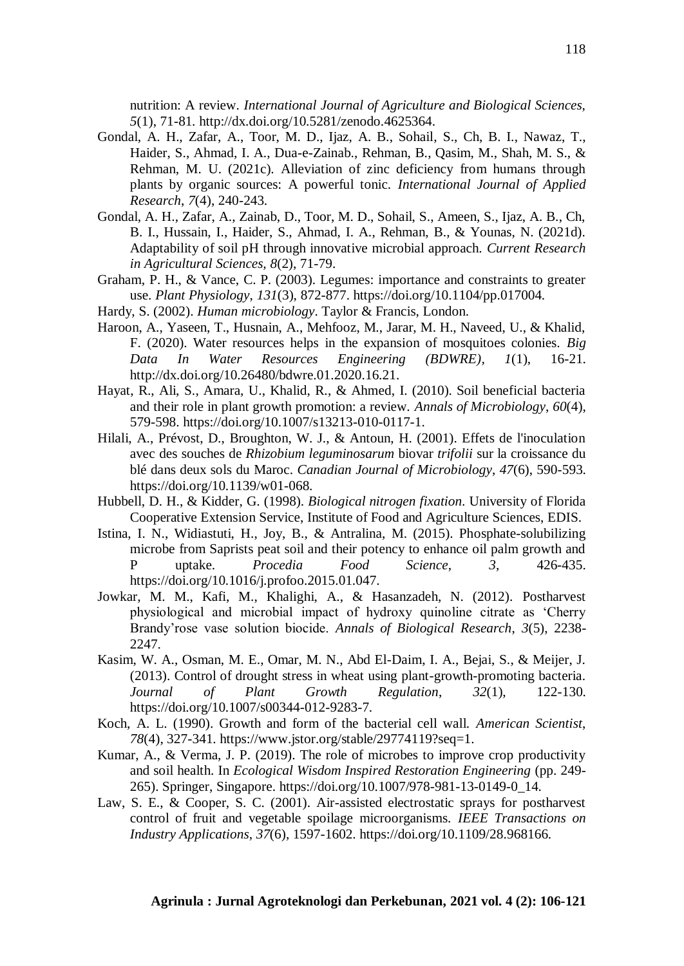nutrition: A review. *International Journal of Agriculture and Biological Sciences, 5*(1), 71-81. http://dx.doi.org/10.5281/zenodo.4625364.

- Gondal, A. H., Zafar, A., Toor, M. D., Ijaz, A. B., Sohail, S., Ch, B. I., Nawaz, T., Haider, S., Ahmad, I. A., Dua-e-Zainab., Rehman, B., Qasim, M., Shah, M. S., & Rehman, M. U. (2021c). Alleviation of zinc deficiency from humans through plants by organic sources: A powerful tonic. *International Journal of Applied Research*, *7*(4), 240-243.
- Gondal, A. H., Zafar, A., Zainab, D., Toor, M. D., Sohail, S., Ameen, S., Ijaz, A. B., Ch, B. I., Hussain, I., Haider, S., Ahmad, I. A., Rehman, B., & Younas, N. (2021d). Adaptability of soil pH through innovative microbial approach. *Current Research in Agricultural Sciences, 8*(2), 71-79.
- Graham, P. H., & Vance, C. P. (2003). Legumes: importance and constraints to greater use. *Plant Physiology*, *131*(3), 872-877. https://doi.org/10.1104/pp.017004.
- Hardy, S. (2002). *Human microbiology*. Taylor & Francis, London.
- Haroon, A., Yaseen, T., Husnain, A., Mehfooz, M., Jarar, M. H., Naveed, U., & Khalid, F. (2020). Water resources helps in the expansion of mosquitoes colonies. *Big Data In Water Resources Engineering (BDWRE), 1*(1), 16-21. http://dx.doi.org/10.26480/bdwre.01.2020.16.21.
- Hayat, R., Ali, S., Amara, U., Khalid, R., & Ahmed, I. (2010). Soil beneficial bacteria and their role in plant growth promotion: a review. *Annals of Microbiology*, *60*(4), 579-598. https://doi.org/10.1007/s13213-010-0117-1.
- Hilali, A., Prévost, D., Broughton, W. J., & Antoun, H. (2001). Effets de l'inoculation avec des souches de *Rhizobium leguminosarum* biovar *trifolii* sur la croissance du blé dans deux sols du Maroc. *Canadian Journal of Microbiology*, *47*(6), 590-593. https://doi.org/10.1139/w01-068.
- Hubbell, D. H., & Kidder, G. (1998). *Biological nitrogen fixation*. University of Florida Cooperative Extension Service, Institute of Food and Agriculture Sciences, EDIS.
- Istina, I. N., Widiastuti, H., Joy, B., & Antralina, M. (2015). Phosphate-solubilizing microbe from Saprists peat soil and their potency to enhance oil palm growth and P uptake. *Procedia Food Science*, *3*, 426-435. https://doi.org/10.1016/j.profoo.2015.01.047.
- Jowkar, M. M., Kafi, M., Khalighi, A., & Hasanzadeh, N. (2012). Postharvest physiological and microbial impact of hydroxy quinoline citrate as 'Cherry Brandy'rose vase solution biocide. *Annals of Biological Research*, *3*(5), 2238- 2247.
- Kasim, W. A., Osman, M. E., Omar, M. N., Abd El-Daim, I. A., Bejai, S., & Meijer, J. (2013). Control of drought stress in wheat using plant-growth-promoting bacteria. *Journal of Plant Growth Regulation*, *32*(1), 122-130. https://doi.org/10.1007/s00344-012-9283-7.
- Koch, A. L. (1990). Growth and form of the bacterial cell wall. *American Scientist*, *78*(4), 327-341. https://www.jstor.org/stable/29774119?seq=1.
- Kumar, A., & Verma, J. P. (2019). The role of microbes to improve crop productivity and soil health. In *Ecological Wisdom Inspired Restoration Engineering* (pp. 249- 265). Springer, Singapore. https://doi.org/10.1007/978-981-13-0149-0\_14.
- Law, S. E., & Cooper, S. C. (2001). Air-assisted electrostatic sprays for postharvest control of fruit and vegetable spoilage microorganisms. *IEEE Transactions on Industry Applications*, *37*(6), 1597-1602. https://doi.org/10.1109/28.968166.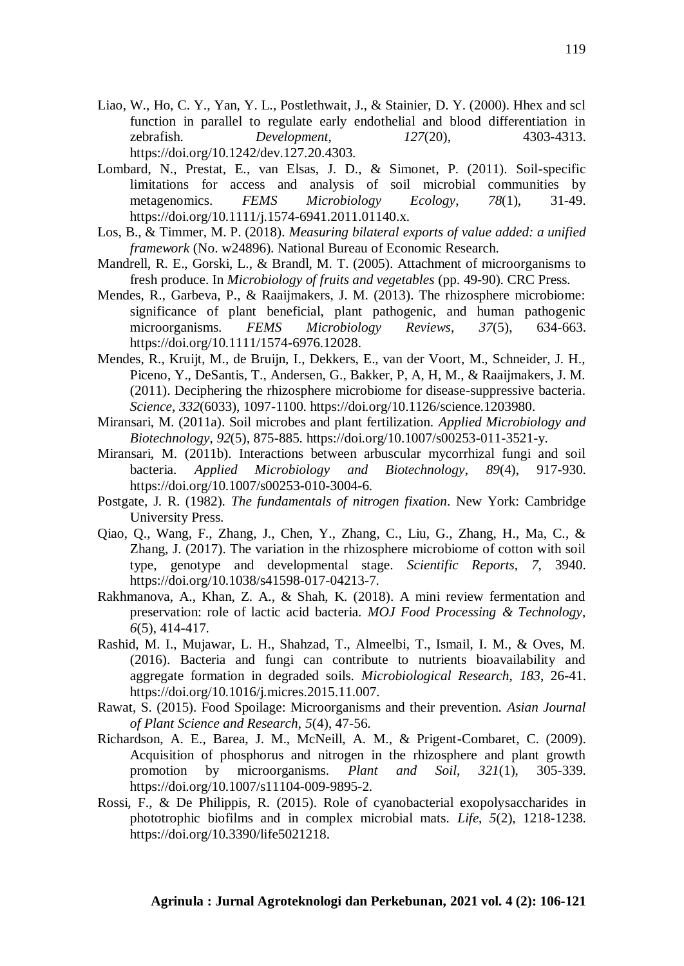- Liao, W., Ho, C. Y., Yan, Y. L., Postlethwait, J., & Stainier, D. Y. (2000). Hhex and scl function in parallel to regulate early endothelial and blood differentiation in zebrafish. *Development*, *127*(20), 4303-4313. https://doi.org/10.1242/dev.127.20.4303.
- Lombard, N., Prestat, E., van Elsas, J. D., & Simonet, P. (2011). Soil-specific limitations for access and analysis of soil microbial communities by metagenomics. *FEMS Microbiology Ecology*, *78*(1), 31-49. https://doi.org/10.1111/j.1574-6941.2011.01140.x.
- Los, B., & Timmer, M. P. (2018). *Measuring bilateral exports of value added: a unified framework* (No. w24896). National Bureau of Economic Research.
- Mandrell, R. E., Gorski, L., & Brandl, M. T. (2005). Attachment of microorganisms to fresh produce. In *Microbiology of fruits and vegetables* (pp. 49-90). CRC Press.
- Mendes, R., Garbeva, P., & Raaijmakers, J. M. (2013). The rhizosphere microbiome: significance of plant beneficial, plant pathogenic, and human pathogenic microorganisms. *FEMS Microbiology Reviews*, *37*(5), 634-663. https://doi.org/10.1111/1574-6976.12028.
- Mendes, R., Kruijt, M., de Bruijn, I., Dekkers, E., van der Voort, M., Schneider, J. H., Piceno, Y., DeSantis, T., Andersen, G., Bakker, P, A, H, M., & Raaijmakers, J. M. (2011). Deciphering the rhizosphere microbiome for disease-suppressive bacteria. *Science*, *332*(6033), 1097-1100. https://doi.org/10.1126/science.1203980.
- Miransari, M. (2011a). Soil microbes and plant fertilization. *Applied Microbiology and Biotechnology*, *92*(5), 875-885. https://doi.org/10.1007/s00253-011-3521-y.
- Miransari, M. (2011b). Interactions between arbuscular mycorrhizal fungi and soil bacteria. *Applied Microbiology and Biotechnology*, *89*(4), 917-930. https://doi.org/10.1007/s00253-010-3004-6.
- Postgate, J. R. (1982). *The fundamentals of nitrogen fixation*. New York: Cambridge University Press.
- Qiao, Q., Wang, F., Zhang, J., Chen, Y., Zhang, C., Liu, G., Zhang, H., Ma, C., & Zhang, J. (2017). The variation in the rhizosphere microbiome of cotton with soil type, genotype and developmental stage. *Scientific Reports*, *7*, 3940. https://doi.org/10.1038/s41598-017-04213-7.
- Rakhmanova, A., Khan, Z. A., & Shah, K. (2018). A mini review fermentation and preservation: role of lactic acid bacteria. *MOJ Food Processing & Technology*, *6*(5), 414-417.
- Rashid, M. I., Mujawar, L. H., Shahzad, T., Almeelbi, T., Ismail, I. M., & Oves, M. (2016). Bacteria and fungi can contribute to nutrients bioavailability and aggregate formation in degraded soils. *Microbiological Research*, *183*, 26-41. https://doi.org/10.1016/j.micres.2015.11.007.
- Rawat, S. (2015). Food Spoilage: Microorganisms and their prevention. *Asian Journal of Plant Science and Research*, *5*(4), 47-56.
- Richardson, A. E., Barea, J. M., McNeill, A. M., & Prigent-Combaret, C. (2009). Acquisition of phosphorus and nitrogen in the rhizosphere and plant growth promotion by microorganisms. *Plant and Soil*, *321*(1), 305-339. https://doi.org/10.1007/s11104-009-9895-2.
- Rossi, F., & De Philippis, R. (2015). Role of cyanobacterial exopolysaccharides in phototrophic biofilms and in complex microbial mats. *Life*, *5*(2), 1218-1238. https://doi.org/10.3390/life5021218.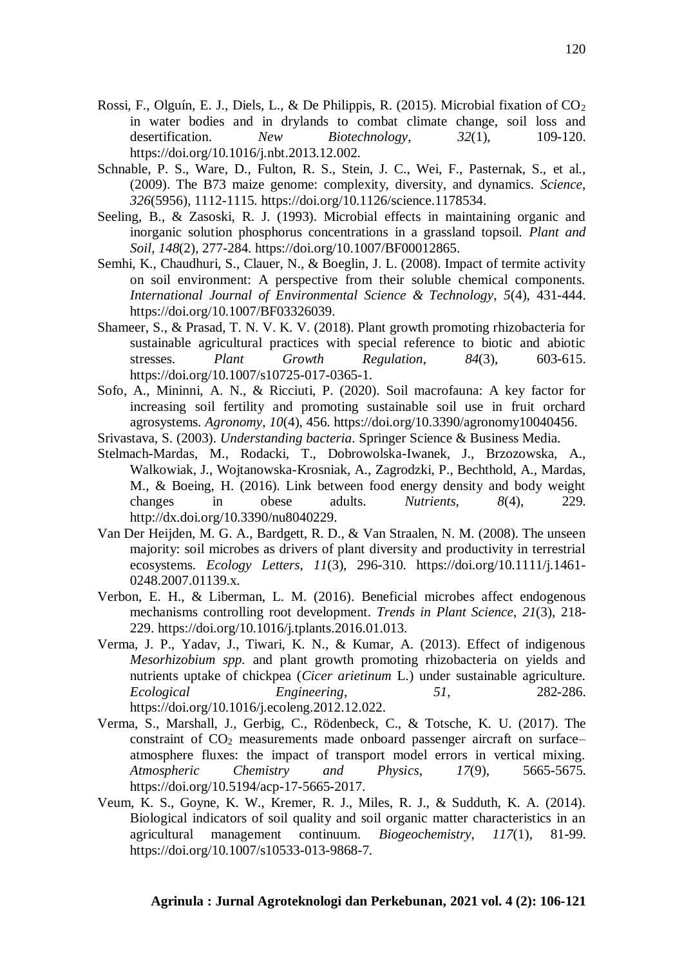- Rossi, F., Olguín, E. J., Diels, L., & De Philippis, R. (2015). Microbial fixation of  $CO<sub>2</sub>$ in water bodies and in drylands to combat climate change, soil loss and desertification. *New Biotechnology*, *32*(1), 109-120. https://doi.org/10.1016/j.nbt.2013.12.002.
- Schnable, P. S., Ware, D., Fulton, R. S., Stein, J. C., Wei, F., Pasternak, S., et al., (2009). The B73 maize genome: complexity, diversity, and dynamics. *Science*, *326*(5956), 1112-1115. https://doi.org/10.1126/science.1178534.
- Seeling, B., & Zasoski, R. J. (1993). Microbial effects in maintaining organic and inorganic solution phosphorus concentrations in a grassland topsoil. *Plant and Soil*, *148*(2), 277-284. https://doi.org/10.1007/BF00012865.
- Semhi, K., Chaudhuri, S., Clauer, N., & Boeglin, J. L. (2008). Impact of termite activity on soil environment: A perspective from their soluble chemical components. *International Journal of Environmental Science & Technology*, *5*(4), 431-444. https://doi.org/10.1007/BF03326039.
- Shameer, S., & Prasad, T. N. V. K. V. (2018). Plant growth promoting rhizobacteria for sustainable agricultural practices with special reference to biotic and abiotic stresses. *Plant Growth Regulation*, *84*(3), 603-615. https://doi.org/10.1007/s10725-017-0365-1.
- Sofo, A., Mininni, A. N., & Ricciuti, P. (2020). Soil macrofauna: A key factor for increasing soil fertility and promoting sustainable soil use in fruit orchard agrosystems. *Agronomy*, *10*(4), 456. https://doi.org/10.3390/agronomy10040456.
- Srivastava, S. (2003). *Understanding bacteria*. Springer Science & Business Media.
- Stelmach-Mardas, M., Rodacki, T., Dobrowolska-Iwanek, J., Brzozowska, A., Walkowiak, J., Wojtanowska-Krosniak, A., Zagrodzki, P., Bechthold, A., Mardas, M., & Boeing, H. (2016). Link between food energy density and body weight changes in obese adults. *Nutrients*, *8*(4), 229. http://dx.doi.org/10.3390/nu8040229.
- Van Der Heijden, M. G. A., Bardgett, R. D., & Van Straalen, N. M. (2008). The unseen majority: soil microbes as drivers of plant diversity and productivity in terrestrial ecosystems. *Ecology Letters*, *11*(3), 296-310. https://doi.org/10.1111/j.1461- 0248.2007.01139.x.
- Verbon, E. H., & Liberman, L. M. (2016). Beneficial microbes affect endogenous mechanisms controlling root development. *Trends in Plant Science*, *21*(3), 218- 229. https://doi.org/10.1016/j.tplants.2016.01.013.
- Verma, J. P., Yadav, J., Tiwari, K. N., & Kumar, A. (2013). Effect of indigenous *Mesorhizobium spp.* and plant growth promoting rhizobacteria on yields and nutrients uptake of chickpea (*Cicer arietinum* L.) under sustainable agriculture. *Ecological Engineering*, *51*, 282-286. https://doi.org/10.1016/j.ecoleng.2012.12.022.
- Verma, S., Marshall, J., Gerbig, C., Rödenbeck, C., & Totsche, K. U. (2017). The constraint of  $CO<sub>2</sub>$  measurements made onboard passenger aircraft on surface– atmosphere fluxes: the impact of transport model errors in vertical mixing. *Atmospheric Chemistry and Physics*, *17*(9), 5665-5675. https://doi.org/10.5194/acp-17-5665-2017.
- Veum, K. S., Goyne, K. W., Kremer, R. J., Miles, R. J., & Sudduth, K. A. (2014). Biological indicators of soil quality and soil organic matter characteristics in an agricultural management continuum. *Biogeochemistry*, *117*(1), 81-99. https://doi.org/10.1007/s10533-013-9868-7.